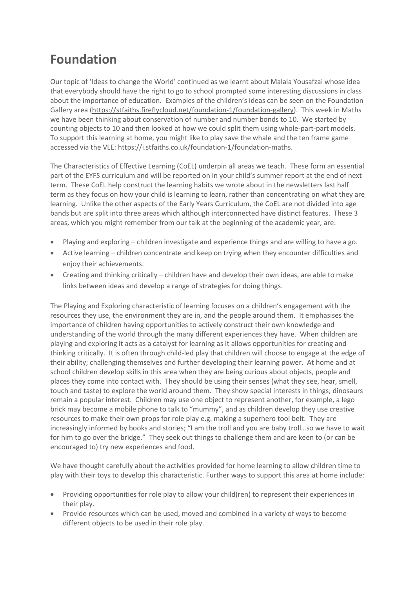## **Foundation**

Our topic of 'Ideas to change the World' continued as we learnt about Malala Yousafzai whose idea that everybody should have the right to go to school prompted some interesting discussions in class about the importance of education. Examples of the children's ideas can be seen on the Foundation Gallery area [\(https://stfaiths.fireflycloud.net/foundation-1/foundation-gallery\)](https://stfaiths.fireflycloud.net/foundation-1/foundation-gallery). This week in Maths we have been thinking about conservation of number and number bonds to 10. We started by counting objects to 10 and then looked at how we could split them using whole-part-part models. To support this learning at home, you might like to play save the whale and the ten frame game accessed via the VLE: [https://i.stfaiths.co.uk/foundation-1/foundation-maths.](https://i.stfaiths.co.uk/foundation-1/foundation-maths)

The Characteristics of Effective Learning (CoEL) underpin all areas we teach. These form an essential part of the EYFS curriculum and will be reported on in your child's summer report at the end of next term. These CoEL help construct the learning habits we wrote about in the newsletters last half term as they focus on how your child is learning to learn, rather than concentrating on what they are learning. Unlike the other aspects of the Early Years Curriculum, the CoEL are not divided into age bands but are split into three areas which although interconnected have distinct features. These 3 areas, which you might remember from our talk at the beginning of the academic year, are:

- Playing and exploring children investigate and experience things and are willing to have a go.
- Active learning children concentrate and keep on trying when they encounter difficulties and enjoy their achievements.
- Creating and thinking critically children have and develop their own ideas, are able to make links between ideas and develop a range of strategies for doing things.

The Playing and Exploring characteristic of learning focuses on a children's engagement with the resources they use, the environment they are in, and the people around them. It emphasises the importance of children having opportunities to actively construct their own knowledge and understanding of the world through the many different experiences they have. When children are playing and exploring it acts as a catalyst for learning as it allows opportunities for creating and thinking critically. It is often through child-led play that children will choose to engage at the edge of their ability; challenging themselves and further developing their learning power. At home and at school children develop skills in this area when they are being curious about objects, people and places they come into contact with. They should be using their senses (what they see, hear, smell, touch and taste) to explore the world around them. They show special interests in things; dinosaurs remain a popular interest. Children may use one object to represent another, for example, a lego brick may become a mobile phone to talk to "mummy", and as children develop they use creative resources to make their own props for role play e.g. making a superhero tool belt. They are increasingly informed by books and stories; "I am the troll and you are baby troll…so we have to wait for him to go over the bridge." They seek out things to challenge them and are keen to (or can be encouraged to) try new experiences and food.

We have thought carefully about the activities provided for home learning to allow children time to play with their toys to develop this characteristic. Further ways to support this area at home include:

- Providing opportunities for role play to allow your child(ren) to represent their experiences in their play.
- Provide resources which can be used, moved and combined in a variety of ways to become different objects to be used in their role play.